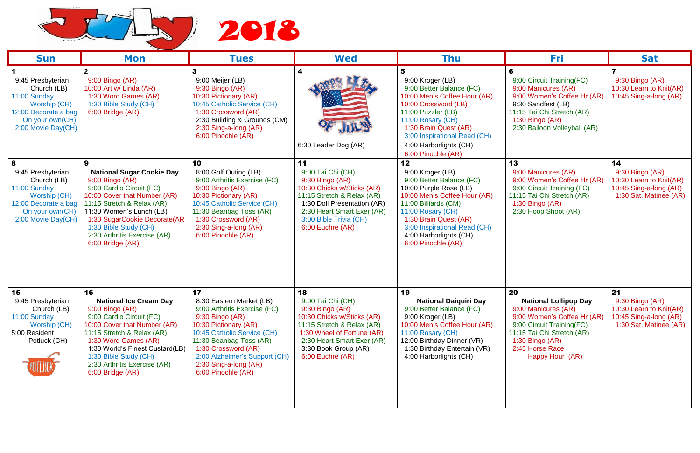

| <b>Sun</b>                                                                                                                             | Mon                                                                                                                                                                                                                                                                                           | <b>Tues</b>                                                                                                                                                                                                                                                                     | <b>Wed</b>                                                                                                                                                                                                          | Thu                                                                                                                                                                                                                                                                | Fri                                                                                                                                                                                                             | <b>Sat</b>                                                                                           |
|----------------------------------------------------------------------------------------------------------------------------------------|-----------------------------------------------------------------------------------------------------------------------------------------------------------------------------------------------------------------------------------------------------------------------------------------------|---------------------------------------------------------------------------------------------------------------------------------------------------------------------------------------------------------------------------------------------------------------------------------|---------------------------------------------------------------------------------------------------------------------------------------------------------------------------------------------------------------------|--------------------------------------------------------------------------------------------------------------------------------------------------------------------------------------------------------------------------------------------------------------------|-----------------------------------------------------------------------------------------------------------------------------------------------------------------------------------------------------------------|------------------------------------------------------------------------------------------------------|
| 9:45 Presbyterian<br>Church (LB)<br>11:00 Sunday<br>Worship (CH)<br>12:00 Decorate a bag<br>On your own(CH)<br>2:00 Movie Day(CH)      | 9:00 Bingo (AR)<br>10:00 Art w/ Linda (AR)<br>1:30 Word Games (AR)<br>1:30 Bible Study (CH)<br>6:00 Bridge (AR)                                                                                                                                                                               | 3<br>9:00 Meijer (LB)<br>9:30 Bingo (AR)<br>10:30 Pictionary (AR)<br>10:45 Catholic Service (CH)<br>1:30 Crossword (AR)<br>2:30 Building & Grounds (CM)<br>2:30 Sing-a-long (AR)<br>6:00 Pinochle (AR)                                                                          | 4<br>6:30 Leader Dog (AR)                                                                                                                                                                                           | 9:00 Kroger (LB)<br>9:00 Better Balance (FC)<br>10:00 Men's Coffee Hour (AR)<br>10:00 Crossword (LB)<br>11:00 Puzzler (LB)<br>11:00 Rosary (CH)<br>1:30 Brain Quest (AR)<br>3:00 Inspirational Read (CH)<br>4:00 Harborlights (CH)<br>6:00 Pinochle (AR)           | 9:00 Circuit Training(FC)<br>9:00 Manicures (AR)<br>9:00 Women's Coffee Hr (AR)<br>9:30 Sandfest (LB)<br>11:15 Tai Chi Stretch (AR)<br>1:30 Bingo (AR)<br>2:30 Balloon Volleyball (AR)                          | 9:30 Bingo (AR)<br>10:30 Learn to Knit(AR)<br>10:45 Sing-a-long (AR)                                 |
| 8<br>9:45 Presbyterian<br>Church (LB)<br>11:00 Sunday<br>Worship (CH)<br>12:00 Decorate a bag<br>On your own(CH)<br>2:00 Movie Day(CH) | 9<br><b>National Sugar Cookie Day</b><br>$9:00$ Bingo (AR)<br>9:00 Cardio Circuit (FC)<br>10:00 Cover that Number (AR)<br>11:15 Stretch & Relax (AR)<br>11:30 Women's Lunch (LB)<br>1:30 SugarCookie Decorate(AR<br>1:30 Bible Study (CH)<br>2:30 Arthritis Exercise (AR)<br>6:00 Bridge (AR) | 10<br>8:00 Golf Outing (LB)<br>9:00 Arthritis Exercise (FC)<br>9:30 Bingo (AR)<br>10:30 Pictionary (AR)<br>10:45 Catholic Service (CH)<br>11:30 Beanbag Toss (AR)<br>1:30 Crossword (AR)<br>2:30 Sing-a-long (AR)<br>6:00 Pinochle (AR)                                         | 11<br>9:00 Tai Chi (CH)<br>$9:30$ Bingo (AR)<br>10:30 Chicks w/Sticks (AR)<br>11:15 Stretch & Relax (AR)<br>1:30 Doll Presentation (AR)<br>2:30 Heart Smart Exer (AR)<br>3:00 Bible Trivia (CH)<br>6:00 Euchre (AR) | 12<br>9:00 Kroger (LB)<br>9:00 Better Balance (FC)<br>10:00 Purple Rose (LB)<br>10:00 Men's Coffee Hour (AR)<br>11:00 Billiards (CM)<br>11:00 Rosary (CH)<br>1:30 Brain Quest (AR)<br>3:00 Inspirational Read (CH)<br>4:00 Harborlights (CH)<br>6:00 Pinochle (AR) | 13<br>9:00 Manicures (AR)<br>9:00 Women's Coffee Hr (AR)<br>9:00 Circuit Training (FC)<br>11:15 Tai Chi Stretch (AR)<br>$1:30$ Bingo (AR)<br>2:30 Hoop Shoot (AR)                                               | 14<br>9:30 Bingo (AR)<br>10:30 Learn to Knit(AR)<br>10:45 Sing-a-long (AR)<br>1:30 Sat. Matinee (AR) |
| 15<br>9:45 Presbyterian<br>Church (LB)<br>11:00 Sunday<br>Worship (CH)<br>5:00 Resident<br>Potluck (CH)                                | 16<br><b>National Ice Cream Day</b><br>9:00 Bingo (AR)<br>9:00 Cardio Circuit (FC)<br>10:00 Cover that Number (AR)<br>11:15 Stretch & Relax (AR)<br>1:30 Word Games (AR)<br>1:30 World's Finest Custard(LB)<br>1:30 Bible Study (CH)<br>2:30 Arthritis Exercise (AR)<br>$6:00$ Bridge $(AR)$  | 17<br>8:30 Eastern Market (LB)<br>9:00 Arthritis Exercise (FC)<br>$9:30$ Bingo $(AR)$<br>10:30 Pictionary (AR)<br>10:45 Catholic Service (CH)<br>11:30 Beanbag Toss (AR)<br>1:30 Crossword (AR)<br>2:00 Alzheimer's Support (CH)<br>2:30 Sing-a-long (AR)<br>6:00 Pinochle (AR) | 18<br>9:00 Tai Chi (CH)<br>$9:30$ Bingo (AR)<br>10:30 Chicks w/Sticks (AR)<br>11:15 Stretch & Relax (AR)<br>1:30 Wheel of Fortune (AR)<br>2:30 Heart Smart Exer (AR)<br>3:30 Book Group (AR)<br>6:00 Euchre (AR)    | 19<br><b>National Daiquiri Day</b><br>9:00 Better Balance (FC)<br>9:00 Kroger (LB)<br>10:00 Men's Coffee Hour (AR)<br>11:00 Rosary (CH)<br>12:00 Birthday Dinner (VR)<br>1:30 Birthday Entertain (VR)<br>4:00 Harborlights (CH)                                    | 20<br><b>National Lollipop Day</b><br>9:00 Manicures (AR)<br>9:00 Women's Coffee Hr (AR)<br>9:00 Circuit Training (FC)<br>11:15 Tai Chi Stretch (AR)<br>1:30 Bingo $(AR)$<br>2:45 Horse Race<br>Happy Hour (AR) | 21<br>9:30 Bingo (AR)<br>10:30 Learn to Knit(AR)<br>10:45 Sing-a-long (AR)<br>1:30 Sat. Matinee (AR) |